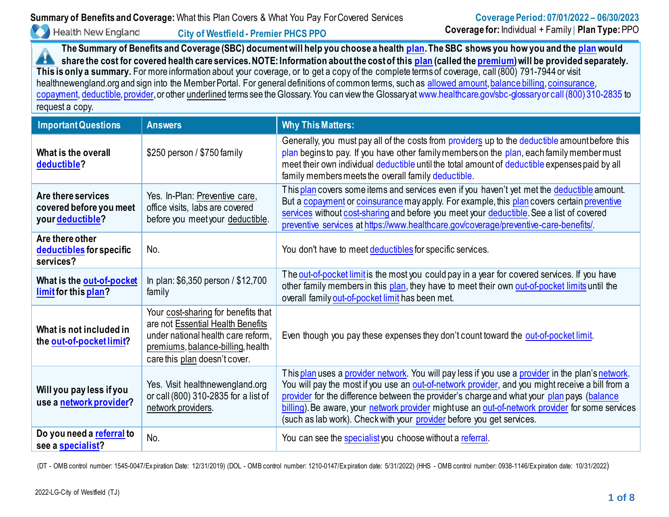**Health New England** 

**The Summary of Benefits and Coverage (SBC) document will help you choose a healt[h plan.](https://www.healthcare.gov/sbc-glossary/#plan) The SBC shows you how you and the [plan](https://www.healthcare.gov/sbc-glossary/#plan) would share the cost for covered health care services. NOTE: Information about the cost of thi[s plan](https://www.healthcare.gov/sbc-glossary/#plan) (called th[e premium\)](https://www.healthcare.gov/sbc-glossary/#premium) will be provided separately. This is only a summary.** For more information about your coverage, or to get a copy of the complete terms of coverage, call (800) 791-7944 or visit healthnewengland.org and sign into the Member Portal. For general definitions of common terms, such as [allowed amount](https://www.healthcare.gov/sbc-glossary/#allowed-amount)[, balance billing, coinsurance,](https://www.healthcare.gov/sbc-glossary/#balance-billing) [copayment, deductible,](https://www.healthcare.gov/sbc-glossary/#copayment) [provider, o](https://www.healthcare.gov/sbc-glossary/#provider)r other underlined terms see the Glossary. You can view the Glossary a[t www.healthcare.gov/sbc-glossary or call \(800\) 310-2835 t](http://www.healthcare.gov/sbc-glossary%20or%20call%20(800)%20310-2835)o request a copy.

| <b>Important Questions</b>                                        | <b>Answers</b>                                                                                                                                                                       | <b>Why This Matters:</b>                                                                                                                                                                                                                                                                                                                                                                                                                                                        |
|-------------------------------------------------------------------|--------------------------------------------------------------------------------------------------------------------------------------------------------------------------------------|---------------------------------------------------------------------------------------------------------------------------------------------------------------------------------------------------------------------------------------------------------------------------------------------------------------------------------------------------------------------------------------------------------------------------------------------------------------------------------|
| What is the overall<br>deductible?                                | \$250 person / \$750 family                                                                                                                                                          | Generally, you must pay all of the costs from providers up to the deductible amount before this<br>plan begins to pay. If you have other family members on the plan, each family member must<br>meet their own individual deductible until the total amount of deductible expenses paid by all<br>family members meets the overall family deductible.                                                                                                                           |
| Are there services<br>covered before you meet<br>your deductible? | Yes. In-Plan: Preventive care,<br>office visits, labs are covered<br>before you meet your deductible.                                                                                | This plan covers some items and services even if you haven't yet met the deductible amount.<br>But a copayment or coinsurance may apply. For example, this plan covers certain preventive<br>services without cost-sharing and before you meet your deductible. See a list of covered<br>preventive services at https://www.healthcare.gov/coverage/preventive-care-benefits/                                                                                                   |
| Are there other<br>deductibles for specific<br>services?          | No.                                                                                                                                                                                  | You don't have to meet deductibles for specific services.                                                                                                                                                                                                                                                                                                                                                                                                                       |
| What is the out-of-pocket<br>limit for this plan?                 | In plan: \$6,350 person / \$12,700<br>family                                                                                                                                         | The out-of-pocket limit is the most you could pay in a year for covered services. If you have<br>other family members in this plan, they have to meet their own out-of-pocket limits until the<br>overall family out-of-pocket limit has been met.                                                                                                                                                                                                                              |
| What is not included in<br>the out-of-pocket limit?               | Your cost-sharing for benefits that<br>are not Essential Health Benefits<br>under national health care reform,<br>premiums, balance-billing, health<br>care this plan doesn't cover. | Even though you pay these expenses they don't count toward the out-of-pocket limit.                                                                                                                                                                                                                                                                                                                                                                                             |
| Will you pay less if you<br>use a network provider?               | Yes. Visit healthnewengland.org<br>or call (800) 310-2835 for a list of<br>network providers.                                                                                        | This plan uses a provider network. You will pay less if you use a provider in the plan's network.<br>You will pay the most if you use an out-of-network provider, and you might receive a bill from a<br>provider for the difference between the provider's charge and what your plan pays (balance<br>billing). Be aware, your network provider mightuse an out-of-network provider for some services<br>(such as lab work). Check with your provider before you get services. |
| Do you need a referral to<br>see a specialist?                    | No.                                                                                                                                                                                  | You can see the specialist you choose without a referral.                                                                                                                                                                                                                                                                                                                                                                                                                       |

(DT - OMB control number: 1545-0047/Ex piration Date: 12/31/2019) (DOL - OMB control number: 1210-0147/Ex piration date: 5/31/2022) (HHS - OMB control number: 0938-1146/Ex piration date: 10/31/2022)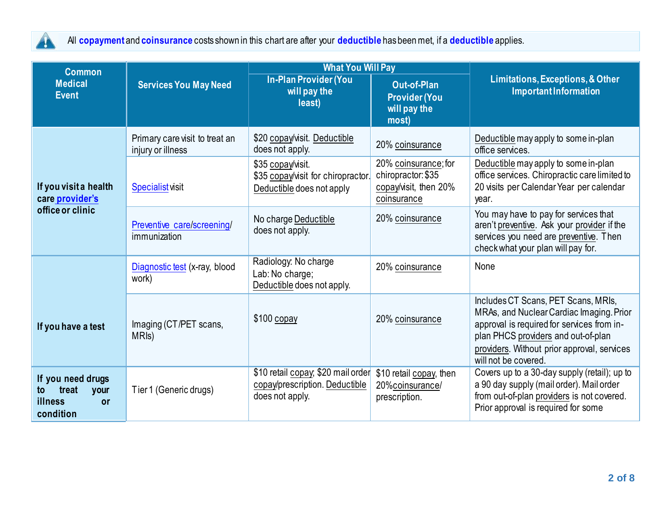

All **[copayment](https://www.healthcare.gov/sbc-glossary/#copayment)** and **[coinsurance](https://www.healthcare.gov/sbc-glossary/#coinsurance)** costs shown in this chart are after your **[deductible](https://www.healthcare.gov/sbc-glossary/#deductible)** has been met, if a **[deductible](https://www.healthcare.gov/sbc-glossary/#deductible)** applies.

| <b>Common</b>                                                                 |                                                     | <b>What You Will Pay</b>                                                                |                                                                                    |                                                                                                                                                                                                                                             |
|-------------------------------------------------------------------------------|-----------------------------------------------------|-----------------------------------------------------------------------------------------|------------------------------------------------------------------------------------|---------------------------------------------------------------------------------------------------------------------------------------------------------------------------------------------------------------------------------------------|
| <b>Medical</b><br><b>Event</b>                                                | <b>Services You May Need</b>                        | <b>In-Plan Provider (You</b><br>will pay the<br>least)                                  | <b>Out-of-Plan</b><br><b>Provider (You</b><br>will pay the<br>most)                | Limitations, Exceptions, & Other<br><b>Important Information</b>                                                                                                                                                                            |
|                                                                               | Primary care visit to treat an<br>injury or illness | \$20 copay/visit. Deductible<br>does not apply.                                         | 20% coinsurance                                                                    | Deductible may apply to some in-plan<br>office services.                                                                                                                                                                                    |
| If you visit a health<br>care provider's                                      | <b>Specialist visit</b>                             | \$35 copay/visit.<br>\$35 copay/visit for chiropractor.<br>Deductible does not apply    | 20% coinsurance; for<br>chiropractor: \$35<br>copay/visit, then 20%<br>coinsurance | Deductible may apply to some in-plan<br>office services. Chiropractic care limited to<br>20 visits per Calendar Year per calendar<br>year.                                                                                                  |
| office or clinic                                                              | Preventive care/screening/<br>immunization          | No charge Deductible<br>does not apply.                                                 | 20% coinsurance                                                                    | You may have to pay for services that<br>aren't preventive. Ask your provider if the<br>services you need are preventive. Then<br>check what your plan will pay for.                                                                        |
|                                                                               | Diagnostic test (x-ray, blood<br>work)              | Radiology: No charge<br>Lab: No charge;<br>Deductible does not apply.                   | 20% coinsurance                                                                    | None                                                                                                                                                                                                                                        |
| If you have a test                                                            | Imaging (CT/PET scans,<br>MRI <sub>s</sub> )        | $$100$ copay                                                                            | 20% coinsurance                                                                    | Includes CT Scans, PET Scans, MRIs,<br>MRAs, and Nuclear Cardiac Imaging. Prior<br>approval is required for services from in-<br>plan PHCS providers and out-of-plan<br>providers. Without prior approval, services<br>will not be covered. |
| If you need drugs<br>treat<br>your<br>to<br>illness<br><b>or</b><br>condition | Tier 1 (Generic drugs)                              | \$10 retail copay, \$20 mail order<br>copay/prescription. Deductible<br>does not apply. | \$10 retail copay, then<br>20%coinsurance/<br>prescription.                        | Covers up to a 30-day supply (retail); up to<br>a 90 day supply (mail order). Mail order<br>from out-of-plan providers is not covered.<br>Prior approval is required for some                                                               |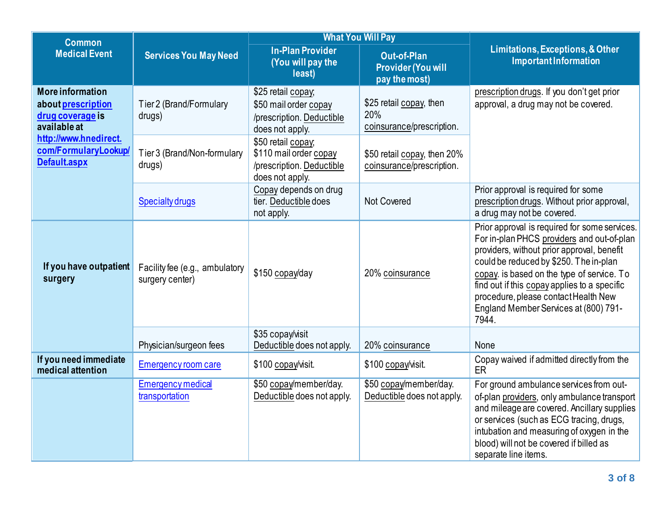| <b>Common</b>                                                                                              |                                                   |                                                                                                                   | <b>What You Will Pay</b>                                         |                                                                                                                                                                                                                                                                                                                                                                             |  |
|------------------------------------------------------------------------------------------------------------|---------------------------------------------------|-------------------------------------------------------------------------------------------------------------------|------------------------------------------------------------------|-----------------------------------------------------------------------------------------------------------------------------------------------------------------------------------------------------------------------------------------------------------------------------------------------------------------------------------------------------------------------------|--|
| <b>Medical Event</b>                                                                                       | <b>Services You May Need</b>                      | <b>In-Plan Provider</b><br>(You will pay the<br>least)                                                            | <b>Out-of-Plan</b><br><b>Provider (You will</b><br>pay the most) | Limitations, Exceptions, & Other<br><b>Important Information</b>                                                                                                                                                                                                                                                                                                            |  |
| <b>More information</b><br>about prescription<br>drug coverage is<br>available at<br>http://www.hnedirect. | Tier 2 (Brand/Formulary<br>drugs)                 | \$25 retail copay;<br>\$50 mail order copay<br>/prescription. Deductible<br>does not apply.<br>\$50 retail copay; | \$25 retail copay, then<br>20%<br>coinsurance/prescription.      | prescription drugs. If you don't get prior<br>approval, a drug may not be covered.                                                                                                                                                                                                                                                                                          |  |
| com/FormularyLookup/<br>Default.aspx                                                                       | Tier 3 (Brand/Non-formulary<br>drugs)             | \$110 mail order copay<br>/prescription. Deductible<br>does not apply.                                            | \$50 retail copay, then 20%<br>coinsurance/prescription.         |                                                                                                                                                                                                                                                                                                                                                                             |  |
|                                                                                                            | <b>Specialty drugs</b>                            | Copay depends on drug<br>tier. Deductible does<br>not apply.                                                      | <b>Not Covered</b>                                               | Prior approval is required for some<br>prescription drugs. Without prior approval,<br>a drug may not be covered.                                                                                                                                                                                                                                                            |  |
| If you have outpatient<br>surgery                                                                          | Facility fee (e.g., ambulatory<br>surgery center) | \$150 copay/day                                                                                                   | 20% coinsurance                                                  | Prior approval is required for some services.<br>For in-plan PHCS providers and out-of-plan<br>providers, without prior approval, benefit<br>could be reduced by \$250. The in-plan<br>copay. is based on the type of service. To<br>find out if this copay applies to a specific<br>procedure, please contact Health New<br>England Member Services at (800) 791-<br>7944. |  |
|                                                                                                            | Physician/surgeon fees                            | \$35 copay/visit<br>Deductible does not apply.                                                                    | 20% coinsurance                                                  | None                                                                                                                                                                                                                                                                                                                                                                        |  |
| If you need immediate<br>medical attention                                                                 | Emergency room care                               | \$100 copay/visit.                                                                                                | \$100 copay/visit.                                               | Copay waived if admitted directly from the<br>ER                                                                                                                                                                                                                                                                                                                            |  |
|                                                                                                            | <b>Emergency medical</b><br>transportation        | \$50 copay/member/day.<br>Deductible does not apply.                                                              | \$50 copay/member/day.<br>Deductible does not apply.             | For ground ambulance services from out-<br>of-plan providers, only ambulance transport<br>and mileage are covered. Ancillary supplies<br>or services (such as ECG tracing, drugs,<br>intubation and measuring of oxygen in the<br>blood) will not be covered if billed as<br>separate line items.                                                                           |  |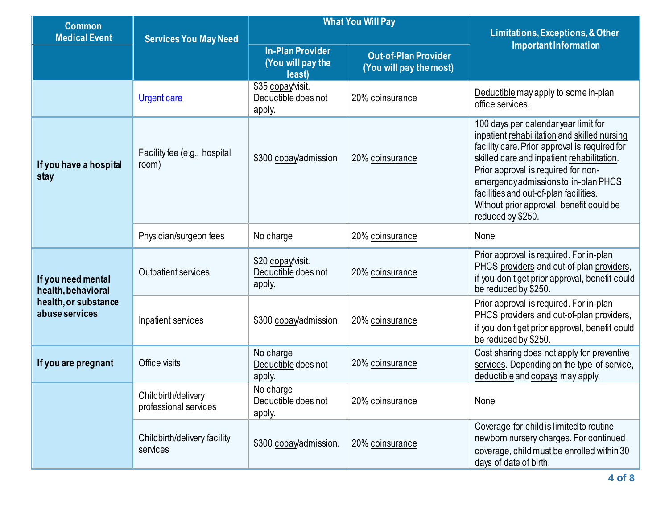| <b>Common</b><br><b>Medical Event</b>                                              | <b>Services You May Need</b>                 | <b>What You Will Pay</b>                               |                                                        | Limitations, Exceptions, & Other<br><b>Important Information</b>                                                                                                                                                                                                                                                                                                             |
|------------------------------------------------------------------------------------|----------------------------------------------|--------------------------------------------------------|--------------------------------------------------------|------------------------------------------------------------------------------------------------------------------------------------------------------------------------------------------------------------------------------------------------------------------------------------------------------------------------------------------------------------------------------|
|                                                                                    |                                              | <b>In-Plan Provider</b><br>(You will pay the<br>least) | <b>Out-of-Plan Provider</b><br>(You will pay the most) |                                                                                                                                                                                                                                                                                                                                                                              |
|                                                                                    | <b>Urgent care</b>                           | \$35 copay/visit.<br>Deductible does not<br>apply.     | 20% coinsurance                                        | Deductible may apply to some in-plan<br>office services.                                                                                                                                                                                                                                                                                                                     |
| If you have a hospital<br>stay                                                     | Facility fee (e.g., hospital<br>room)        | \$300 copay/admission                                  | 20% coinsurance                                        | 100 days per calendar year limit for<br>inpatient rehabilitation and skilled nursing<br>facility care. Prior approval is required for<br>skilled care and inpatient rehabilitation.<br>Prior approval is required for non-<br>emergencyadmissions to in-plan PHCS<br>facilities and out-of-plan facilities.<br>Without prior approval, benefit could be<br>reduced by \$250. |
|                                                                                    | Physician/surgeon fees                       | No charge                                              | 20% coinsurance                                        | None                                                                                                                                                                                                                                                                                                                                                                         |
| If you need mental<br>health, behavioral<br>health, or substance<br>abuse services | Outpatient services                          | \$20 copay/visit.<br>Deductible does not<br>apply.     | 20% coinsurance                                        | Prior approval is required. For in-plan<br>PHCS providers and out-of-plan providers,<br>if you don't get prior approval, benefit could<br>be reduced by \$250.                                                                                                                                                                                                               |
|                                                                                    | Inpatient services                           | \$300 copay/admission                                  | 20% coinsurance                                        | Prior approval is required. For in-plan<br>PHCS providers and out-of-plan providers,<br>if you don't get prior approval, benefit could<br>be reduced by \$250.                                                                                                                                                                                                               |
| If you are pregnant                                                                | Office visits                                | No charge<br>Deductible does not<br>apply.             | 20% coinsurance                                        | Cost sharing does not apply for preventive<br>services. Depending on the type of service,<br>deductible and copays may apply.                                                                                                                                                                                                                                                |
|                                                                                    | Childbirth/delivery<br>professional services | No charge<br>Deductible does not<br>apply.             | 20% coinsurance                                        | None                                                                                                                                                                                                                                                                                                                                                                         |
|                                                                                    | Childbirth/delivery facility<br>services     | \$300 copay/admission.                                 | 20% coinsurance                                        | Coverage for child is limited to routine<br>newborn nursery charges. For continued<br>coverage, child must be enrolled within 30<br>days of date of birth.                                                                                                                                                                                                                   |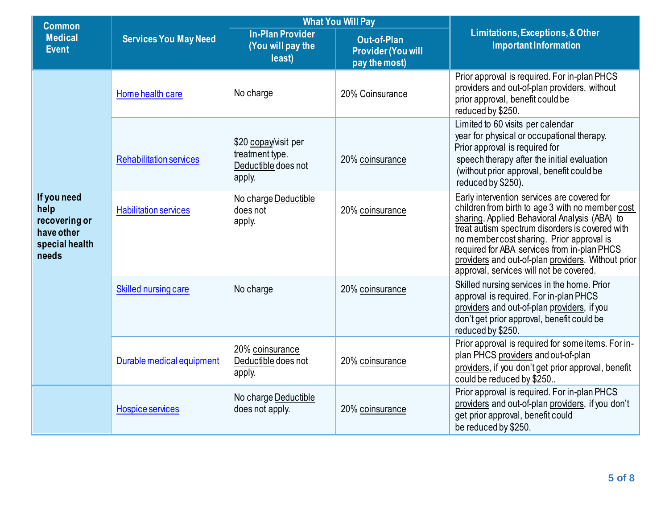| <b>Common</b>                                                                 | <b>Services You May Need</b>   | <b>What You Will Pay</b>                                                 |                                                                  |                                                                                                                                                                                                                                                                                                                                                                                                  |  |
|-------------------------------------------------------------------------------|--------------------------------|--------------------------------------------------------------------------|------------------------------------------------------------------|--------------------------------------------------------------------------------------------------------------------------------------------------------------------------------------------------------------------------------------------------------------------------------------------------------------------------------------------------------------------------------------------------|--|
| <b>Medical</b><br><b>Event</b>                                                |                                | <b>In-Plan Provider</b><br>(You will pay the<br>least)                   | <b>Out-of-Plan</b><br><b>Provider (You will</b><br>pay the most) | Limitations, Exceptions, & Other<br><b>Important Information</b>                                                                                                                                                                                                                                                                                                                                 |  |
|                                                                               | Home health care               | No charge                                                                | 20% Coinsurance                                                  | Prior approval is required. For in-plan PHCS<br>providers and out-of-plan providers, without<br>prior approval, benefit could be<br>reduced by \$250.                                                                                                                                                                                                                                            |  |
|                                                                               | <b>Rehabilitation services</b> | \$20 copay/visit per<br>treatment type.<br>Deductible does not<br>apply. | 20% coinsurance                                                  | Limited to 60 visits per calendar<br>year for physical or occupational therapy.<br>Prior approval is required for<br>speech therapy after the initial evaluation<br>(without prior approval, benefit could be<br>reduced by \$250).                                                                                                                                                              |  |
| If you need<br>help<br>recovering or<br>have other<br>special health<br>needs | <b>Habilitation services</b>   | No charge Deductible<br>does not<br>apply.                               | 20% coinsurance                                                  | Early intervention services are covered for<br>children from birth to age 3 with no member cost<br>sharing. Applied Behavioral Analysis (ABA) to<br>treat autism spectrum disorders is covered with<br>no member cost sharing. Prior approval is<br>required for ABA services from in-plan PHCS<br>providers and out-of-plan providers. Without prior<br>approval, services will not be covered. |  |
|                                                                               | Skilled nursing care           | No charge                                                                | 20% coinsurance                                                  | Skilled nursing services in the home. Prior<br>approval is required. For in-plan PHCS<br>providers and out-of-plan providers, if you<br>don't get prior approval, benefit could be<br>reduced by \$250.                                                                                                                                                                                          |  |
|                                                                               | Durable medical equipment      | 20% coinsurance<br>Deductible does not<br>apply.                         | 20% coinsurance                                                  | Prior approval is required for some items. For in-<br>plan PHCS providers and out-of-plan<br>providers, if you don't get prior approval, benefit<br>could be reduced by \$250                                                                                                                                                                                                                    |  |
|                                                                               | Hospice services               | No charge Deductible<br>does not apply.                                  | 20% coinsurance                                                  | Prior approval is required. For in-plan PHCS<br>providers and out-of-plan providers, if you don't<br>get prior approval, benefit could<br>be reduced by \$250.                                                                                                                                                                                                                                   |  |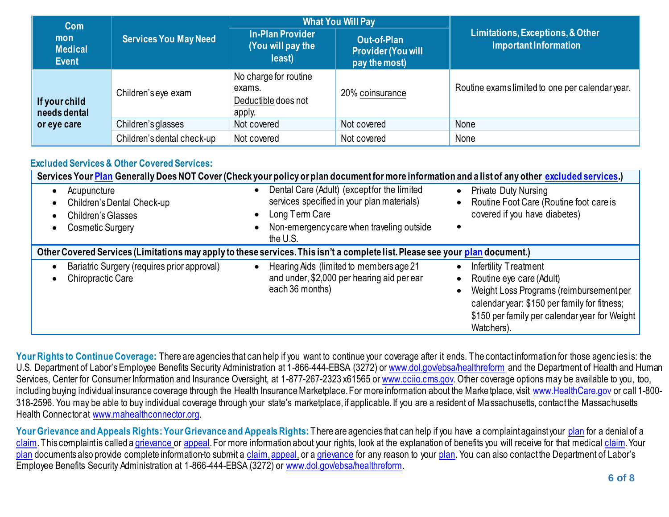| Com                                   |                              |                                                                  | <b>What You Will Pay</b>                                         |                                                                  |
|---------------------------------------|------------------------------|------------------------------------------------------------------|------------------------------------------------------------------|------------------------------------------------------------------|
| mon<br><b>Medical</b><br><b>Event</b> | <b>Services You May Need</b> | <b>In-Plan Provider</b><br>(You will pay the<br>least)           | <b>Out-of-Plan</b><br><b>Provider (You will</b><br>pay the most) | Limitations, Exceptions, & Other<br><b>Important Information</b> |
| If your child<br>needs dental         | Children's eye exam          | No charge for routine<br>exams.<br>Deductible does not<br>apply. | 20% coinsurance                                                  | Routine exams limited to one per calendar year.                  |
| or eye care                           | Children's glasses           | Not covered                                                      | Not covered                                                      | None                                                             |
|                                       | Children's dental check-up   | Not covered                                                      | Not covered                                                      | None                                                             |

# **Excluded Services & Other Covered Services:**

| Services Your Plan Generally Does NOT Cover (Check your policy or plan document for more information and a list of any other excluded services.) |                                                                                                                                                                                                            |                                                                                                                                                                                                                                                    |
|--------------------------------------------------------------------------------------------------------------------------------------------------|------------------------------------------------------------------------------------------------------------------------------------------------------------------------------------------------------------|----------------------------------------------------------------------------------------------------------------------------------------------------------------------------------------------------------------------------------------------------|
| Acupuncture<br>Children's Dental Check-up<br>$\bullet$<br>Children's Glasses<br>$\bullet$<br>Cosmetic Surgery<br>$\bullet$                       | Dental Care (Adult) (except for the limited<br>$\bullet$<br>services specified in your plan materials)<br>Long Term Care<br>$\bullet$<br>Non-emergencycare when traveling outside<br>$\bullet$<br>the U.S. | <b>Private Duty Nursing</b><br>$\bullet$<br>Routine Foot Care (Routine foot care is<br>$\bullet$<br>covered if you have diabetes)                                                                                                                  |
| Other Covered Services (Limitations may apply to these services. This isn't a complete list. Please see your plan document.)                     |                                                                                                                                                                                                            |                                                                                                                                                                                                                                                    |
| Bariatric Surgery (requires prior approval)<br>Chiropractic Care<br>$\bullet$                                                                    | Hearing Aids (limited to members age 21<br>$\bullet$<br>and under, \$2,000 per hearing aid per ear<br>each 36 months)                                                                                      | Infertility Treatment<br>$\bullet$<br>Routine eye care (Adult)<br>$\bullet$<br>Weight Loss Programs (reimbursement per<br>$\bullet$<br>calendar year: \$150 per family for fitness;<br>\$150 per family per calendar year for Weight<br>Watchers). |

Your Rights to Continue Coverage: There are agencies that can help if you want to continue your coverage after it ends. The contact information for those agencies is: the U.S. Department of Labor's Employee Benefits Security Administration at 1-866-444-EBSA (3272) o[r www.dol.gov/ebsa/healthreform](https://www.dol.gov/agencies/ebsa/laws-and-regulations/laws/affordable-care-act) and the Department of Health and Human Services, Center for Consumer Information and Insurance Oversight, at 1-877-267-2323 x61565 o[r www.cciio.cms.gov.](http://www.cciio.cms.gov/) Other coverage options may be available to you, too, including buying individual insurance coverage through the Health Insurance Marketplace. For more information about the Marketplace, visit [www.HealthCare.gov](http://www.healthcare.gov/) or call 1-800-318-2596. You may be able to buy individual coverage through your state's marketplace, if applicable. If you are a resident of Massachusetts, contact the Massachusetts Health Connector at [www.mahealthconnector.org](http://www.mahealthconnector.org/).

Your Grievance and Appeals Rights: Your Grievance and Appeals Rights: There are agencies that can help if you have a complaint against your [plan](https://www.healthcare.gov/sbc-glossary/#plan) for a denial of a [claim](https://www.healthcare.gov/sbc-glossary/#claim). This complaint is called [a grievance](https://www.healthcare.gov/sbc-glossary/#grievance) or [appeal.](https://www.healthcare.gov/sbc-glossary/#appeal) For more information about your rights, look at the explanation of benefits you will receive for that medica[l claim](https://www.healthcare.gov/sbc-glossary/#claim). Your [plan](https://www.healthcare.gov/sbc-glossary/#plan) documents also provide complete information to submit a [claim](https://www.healthcare.gov/sbc-glossary/#claim), appeal, or [a grievance](https://www.healthcare.gov/sbc-glossary/#grievance) for any reason to your [plan](https://www.healthcare.gov/sbc-glossary/#plan). You can also contact the Department of Labor's Employee Benefits Security Administration at 1-866-444-EBSA (3272) or [www.dol.gov/ebsa/healthreform.](https://www.dol.gov/agencies/ebsa/laws-and-regulations/laws/affordable-care-act)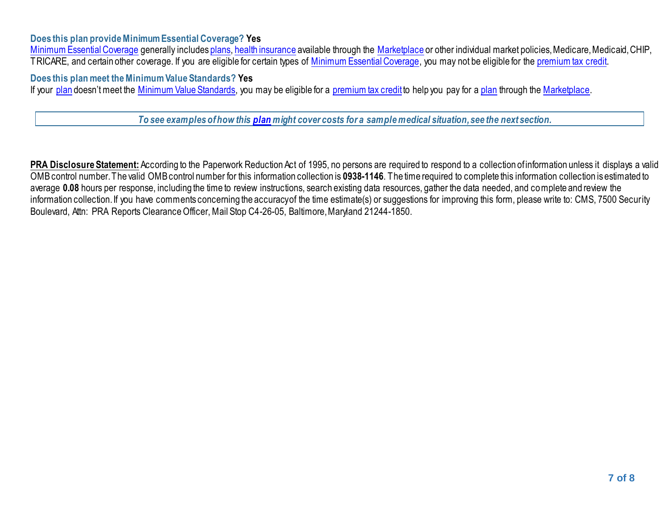### **Does this plan provide Minimum Essential Coverage? Yes**

[Minimum Essential Coverage](https://www.healthcare.gov/sbc-glossary/#minimum-essential-coverage) generally include[s plans,](https://www.healthcare.gov/sbc-glossary/#plan) [health insurance](https://www.healthcare.gov/sbc-glossary/#health-insurance) available through the [Marketplace](https://www.healthcare.gov/sbc-glossary/#marketplace) or other individual market policies, Medicare, Medicaid, CHIP, TRICARE, and certain other coverage. If you are eligible for certain types of [Minimum Essential Coverage,](https://www.healthcare.gov/sbc-glossary/#minimum-essential-coverage) you may not be eligible for th[e premium tax credit.](https://www.healthcare.gov/sbc-glossary/#premium-tax-credits)

**Does this plan meet the Minimum Value Standards? Yes**

If your [plan](https://www.healthcare.gov/sbc-glossary/#plan) doesn't meet the [Minimum Value Standards,](https://www.healthcare.gov/sbc-glossary/#minimum-value-standard) you may be eligible for a [premium tax credit](https://www.healthcare.gov/sbc-glossary/#premium-tax-credits) to help you pay for a plan through th[e Marketplace.](https://www.healthcare.gov/sbc-glossary/#marketplace)

*To see examples of how this [plan](https://www.healthcare.gov/sbc-glossary/#plan) might cover costs for a sample medical situation, see the next section.*

**PRA Disclosure Statement:** According to the Paperwork Reduction Act of 1995, no persons are required to respond to a collection of information unless it displays a valid OMB control number. The valid OMB control number for this information collection is **0938-1146**. The time required to complete this information collection is estimated to average **0.08** hours per response, including the time to review instructions, search existing data resources, gather the data needed, and complete and review the information collection. If you have comments concerning the accuracy of the time estimate(s) or suggestions for improving this form, please write to: CMS, 7500 Security Boulevard, Attn: PRA Reports Clearance Officer, Mail Stop C4-26-05, Baltimore, Maryland 21244-1850.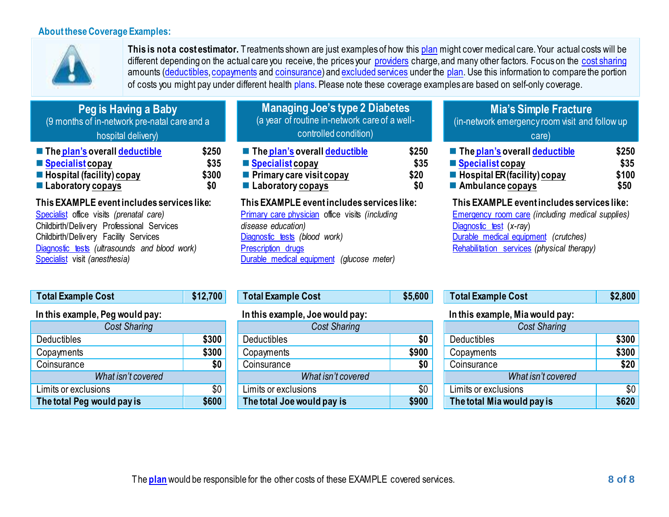## **About these Coverage Examples:**



**This is not a cost estimator.** Treatments shown are just examples of how thi[s plan](https://www.healthcare.gov/sbc-glossary/#plan) might cover medical care. Your actual costs will be different depending on the actual care you receive, the prices your [providers](https://www.healthcare.gov/sbc-glossary/#provider) charge, and many other factors. Focus on the [cost sharing](https://www.healthcare.gov/sbc-glossary/#cost-sharing) amounts [\(deductibles, copayments](https://www.healthcare.gov/sbc-glossary/#deductible) an[d coinsurance](https://www.healthcare.gov/sbc-glossary/#coinsurance)) an[d excluded services](https://www.healthcare.gov/sbc-glossary/#excluded-services) under the [plan.](https://www.healthcare.gov/sbc-glossary/#plan) Use this information to compare the portion of costs you might pay under different healt[h plans. P](https://www.healthcare.gov/sbc-glossary/#plan)lease note these coverage examples are based on self-only coverage.

| <b>Peg is Having a Baby</b>                  |      |
|----------------------------------------------|------|
| (9 months of in-network pre-natal care and a |      |
| hospital delivery)                           |      |
| The plan's overall deductible                | \$25 |
| Specialist copay                             | \$3  |
| Hospital (facility) copay                    | \$30 |
| Laboratory copays                            | \$0  |

**This EXAMPLE event includes services like:**  [Specialist](https://www.healthcare.gov/sbc-glossary/#specialist) office visits *(prenatal care)*

Childbirth/Delivery Professional Services Childbirth/Delivery Facility Services [Diagnostic tests](https://www.healthcare.gov/sbc-glossary/#diagnostic-test) *(ultrasounds and blood work)* [Specialist](https://www.healthcare.gov/sbc-glossary/#specialist) visit *(anesthesia)*

| Peg is Having a Baby                                                                                                                   | <b>Managing JOE 5 type Z Diabetes</b>                                                                                              |                              | <b>MIA'S SIMPLE Fracture</b>                                                                                                            |                              |
|----------------------------------------------------------------------------------------------------------------------------------------|------------------------------------------------------------------------------------------------------------------------------------|------------------------------|-----------------------------------------------------------------------------------------------------------------------------------------|------------------------------|
| (9 months of in-network pre-natal care and a                                                                                           | (a year of routine in-network care of a well-                                                                                      |                              | (in-network emergency room visit and follow up                                                                                          |                              |
| hospital delivery)                                                                                                                     | controlled condition)                                                                                                              |                              | care)                                                                                                                                   |                              |
| The plan's overall deductible<br>\$250<br>Specialist copay<br>\$35<br>\$300<br>Hospital (facility) copay<br>■ Laboratory copays<br>\$0 | $\blacksquare$ The plan's overall deductible<br>$\blacksquare$ Specialist copay<br>Primary care visit copay<br>■ Laboratory copays | \$250<br>\$35<br>\$20<br>\$0 | $\blacksquare$ The plan's overall deductible<br>■ Specialist copay<br>■ Hospital ER (facility) copay<br>$\blacksquare$ Ambulance copays | \$25<br>\$35<br>\$10<br>\$50 |

**Managing Joe's type 2 Diabetes**

**This EXAMPLE event includes services like:**  [Primary care physician](https://www.healthcare.gov/sbc-glossary/#primary-care-physician) office visits *(including disease education)* [Diagnostic tests](https://www.healthcare.gov/sbc-glossary/#diagnostic-test) *(blood work)* [Prescription drugs](https://www.healthcare.gov/sbc-glossary/#prescription-drugs) [Durable medical equipment](https://www.healthcare.gov/sbc-glossary/#durable-medical-equipment) *(glucose meter)*

## **Mia's Simple Fracture**

| $-$ 110 <i>piun 9</i> 9 for all acquains to | ▿▴◡◡  | $\sim$ 1119 DRII 9 9 Februari 9 9 Februari 9 Februari 9 Februari 9 Februari 9 Februari 9 Februari 9 Februari 9 Feb | ◡▴◡◡ | $\sim$ 1110 DRUI 9 0 TORI 90 DRUIDIO        | ₩∸⊽⊽  |
|---------------------------------------------|-------|--------------------------------------------------------------------------------------------------------------------|------|---------------------------------------------|-------|
| $\blacksquare$ Specialist copay             | \$35  | $\blacksquare$ Specialist copay                                                                                    | \$35 | ■ Specialist copav                          | \$35  |
| Hospital (facility) copay                   | \$300 | $\blacksquare$ Primary care visit copay                                                                            | \$20 | $\blacksquare$ Hospital ER (facility) copay | \$100 |
| $\blacksquare$ Laboratory copays            |       | <b>Laboratory copays</b>                                                                                           | \$0  | Ambulance copays                            | \$50  |

**This EXAMPLE event includes services like:**  [Emergency room care](https://www.healthcare.gov/sbc-glossary/#emergency-room-care-emergency-services) *(including medical supplies)* [Diagnostic test](https://www.healthcare.gov/sbc-glossary/#diagnostic-test) (*x-ray*) [Durable medical equipment](https://www.healthcare.gov/sbc-glossary/#durable-medical-equipment) *(crutches)* [Rehabilitation services](https://www.healthcare.gov/sbc-glossary/#rehabilitation-services) *(physical therapy)*

| <b>Total Example Cost</b>       | \$12,700 |  |  |  |  |
|---------------------------------|----------|--|--|--|--|
| In this example, Peg would pay: |          |  |  |  |  |
| <b>Cost Sharing</b>             |          |  |  |  |  |
| <b>Deductibles</b>              | \$300    |  |  |  |  |
| Copayments                      | \$300    |  |  |  |  |
| Coinsurance                     | \$0      |  |  |  |  |
| What isn't covered              |          |  |  |  |  |
| Limits or exclusions            | \$0      |  |  |  |  |
| The total Peg would pay is      | \$600    |  |  |  |  |

| Total Example Cost |  |  |  |  |
|--------------------|--|--|--|--|
|                    |  |  |  |  |

| III UIIS CAAIIIPIC, JUC WUUIU PAY. |       |  |  |  |
|------------------------------------|-------|--|--|--|
| <b>Cost Sharing</b>                |       |  |  |  |
| Deductibles                        | \$0   |  |  |  |
| Copayments                         | \$900 |  |  |  |
| Coinsurance                        | SO    |  |  |  |
| What isn't covered                 |       |  |  |  |
| Limits or exclusions               | \$0   |  |  |  |
| The total Joe would pay is         | \$900 |  |  |  |

| <b>Total Example Cost</b> | \$12,700 | <b>Total Example Cost</b> | \$5,600 | <b>Total Example Cost</b> | 32,800 |
|---------------------------|----------|---------------------------|---------|---------------------------|--------|
|---------------------------|----------|---------------------------|---------|---------------------------|--------|

### **In this example, Peg would pay: In this example, Joewould pay: In this example, Mia would pay:**

| <b>Cost Sharing</b>        |       |  |  |  |
|----------------------------|-------|--|--|--|
| Deductibles                | \$300 |  |  |  |
| Copayments                 | \$300 |  |  |  |
| Coinsurance                | \$20  |  |  |  |
| What isn't covered         |       |  |  |  |
| Limits or exclusions       |       |  |  |  |
| The total Mia would pay is | \$620 |  |  |  |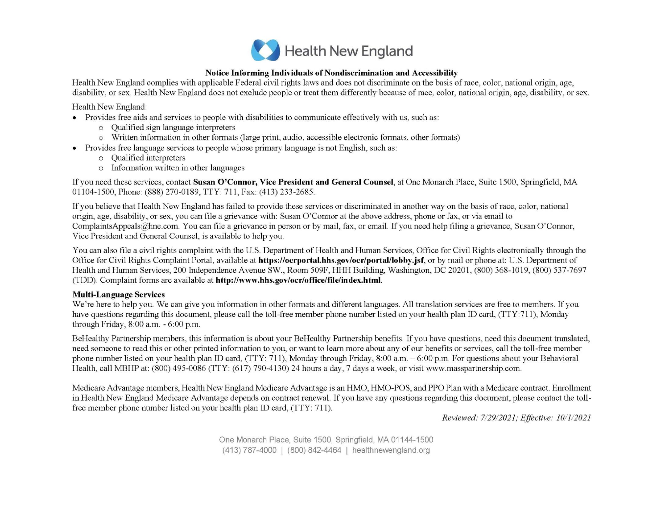

#### Notice Informing Individuals of Nondiscrimination and Accessibility

Health New England complies with applicable Federal civil rights laws and does not discriminate on the basis of race, color, national origin, age, disability, or sex. Health New England does not exclude people or treat them differently because of race, color, national origin, age, disability, or sex.

Health New England:

- Provides free aids and services to people with disabilities to communicate effectively with us, such as:
	- o Qualified sign language interpreters
	- o Written information in other formats (large print, audio, accessible electronic formats, other formats)
- Provides free language services to people whose primary language is not English, such as:
	- o Qualified interpreters
	- o Information written in other languages

If you need these services, contact Susan O'Connor, Vice President and General Counsel, at One Monarch Place, Suite 1500, Springfield, MA 01104-1500, Phone: (888) 270-0189, TTY: 711, Fax: (413) 233-2685.

If you believe that Health New England has failed to provide these services or discriminated in another way on the basis of race, color, national origin, age, disability, or sex, you can file a grievance with: Susan O'Connor at the above address, phone or fax, or via email to ComplaintsAppeals@hne.com. You can file a grievance in person or by mail, fax, or email. If you need help filing a grievance, Susan O'Connor, Vice President and General Counsel, is available to help you.

You can also file a civil rights complaint with the U.S. Department of Health and Human Services, Office for Civil Rights electronically through the Office for Civil Rights Complaint Portal, available at **https://ocrportal.hhs.gov/ocr/portal/lobby.jsf**, or by mail or phone at: U.S. Department of Health and Human Services, 200 Independence Avenue SW., Room 509F, HHH Building, Washington, DC 20201, (800) 368-1019, (800) 537-7697 (TDD). Complaint forms are available at http://www.hhs.gov/ocr/office/file/index.html.

#### **Multi-Language Services**

We're here to help you. We can give you information in other formats and different languages. All translation services are free to members. If you have questions regarding this document, please call the toll-free member phone number listed on your health plan ID card, (TTY:711), Monday through Friday, 8:00 a.m. - 6:00 p.m.

BeHealthy Partnership members, this information is about your BeHealthy Partnership benefits. If you have questions, need this document translated, need someone to read this or other printed information to you, or want to learn more about any of our benefits or services, call the toll-free member phone number listed on your health plan ID card, (TTY: 711), Monday through Friday, 8:00 a.m.  $-6:00$  p.m. For questions about your Behavioral Health, call MBHP at: (800) 495-0086 (TTY: (617) 790-4130) 24 hours a day, 7 days a week, or visit www.masspartnership.com.

Medicare Advantage members, Health New England Medicare Advantage is an HMO, HMO-POS, and PPO Plan with a Medicare contract. Enrollment in Health New England Medicare Advantage depends on contract renewal. If you have any questions regarding this document, please contact the tollfree member phone number listed on your health plan ID card, (TTY: 711).

Reviewed: 7/29/2021; Effective: 10/1/2021

One Monarch Place, Suite 1500, Springfield, MA 01144-1500 (413) 787-4000 | (800) 842-4464 | healthnewengland.org